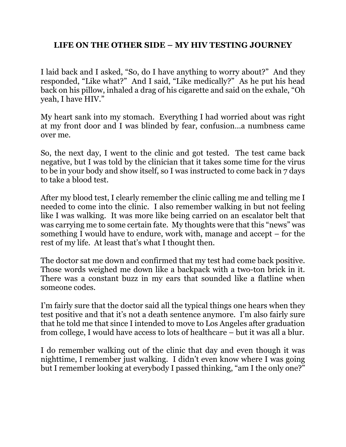## **LIFE ON THE OTHER SIDE – MY HIV TESTING JOURNEY**

I laid back and I asked, "So, do I have anything to worry about?" And they responded, "Like what?" And I said, "Like medically?" As he put his head back on his pillow, inhaled a drag of his cigarette and said on the exhale, "Oh yeah, I have HIV."

My heart sank into my stomach. Everything I had worried about was right at my front door and I was blinded by fear, confusion…a numbness came over me.

So, the next day, I went to the clinic and got tested. The test came back negative, but I was told by the clinician that it takes some time for the virus to be in your body and show itself, so I was instructed to come back in 7 days to take a blood test.

After my blood test, I clearly remember the clinic calling me and telling me I needed to come into the clinic. I also remember walking in but not feeling like I was walking. It was more like being carried on an escalator belt that was carrying me to some certain fate. My thoughts were that this "news" was something I would have to endure, work with, manage and accept – for the rest of my life. At least that's what I thought then.

The doctor sat me down and confirmed that my test had come back positive. Those words weighed me down like a backpack with a two-ton brick in it. There was a constant buzz in my ears that sounded like a flatline when someone codes.

I'm fairly sure that the doctor said all the typical things one hears when they test positive and that it's not a death sentence anymore. I'm also fairly sure that he told me that since I intended to move to Los Angeles after graduation from college, I would have access to lots of healthcare – but it was all a blur.

I do remember walking out of the clinic that day and even though it was nighttime, I remember just walking. I didn't even know where I was going but I remember looking at everybody I passed thinking, "am I the only one?"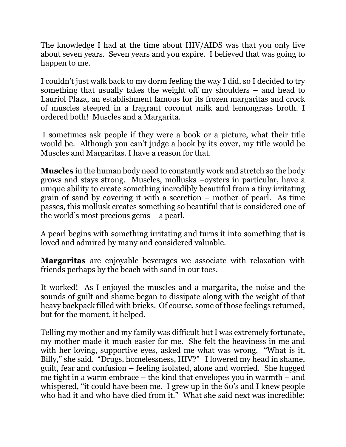The knowledge I had at the time about HIV/AIDS was that you only live about seven years. Seven years and you expire. I believed that was going to happen to me.

I couldn't just walk back to my dorm feeling the way I did, so I decided to try something that usually takes the weight off my shoulders – and head to Lauriol Plaza, an establishment famous for its frozen margaritas and crock of muscles steeped in a fragrant coconut milk and lemongrass broth. I ordered both! Muscles and a Margarita.

I sometimes ask people if they were a book or a picture, what their title would be. Although you can't judge a book by its cover, my title would be Muscles and Margaritas. I have a reason for that.

**Muscles** in the human body need to constantly work and stretch so the body grows and stays strong. Muscles, mollusks –oysters in particular, have a unique ability to create something incredibly beautiful from a tiny irritating grain of sand by covering it with a secretion – mother of pearl. As time passes, this mollusk creates something so beautiful that is considered one of the world's most precious gems – a pearl.

A pearl begins with something irritating and turns it into something that is loved and admired by many and considered valuable.

**Margaritas** are enjoyable beverages we associate with relaxation with friends perhaps by the beach with sand in our toes.

It worked! As I enjoyed the muscles and a margarita, the noise and the sounds of guilt and shame began to dissipate along with the weight of that heavy backpack filled with bricks. Of course, some of those feelings returned, but for the moment, it helped.

Telling my mother and my family was difficult but I was extremely fortunate, my mother made it much easier for me. She felt the heaviness in me and with her loving, supportive eyes, asked me what was wrong. "What is it, Billy," she said. "Drugs, homelessness, HIV?" I lowered my head in shame, guilt, fear and confusion – feeling isolated, alone and worried. She hugged me tight in a warm embrace – the kind that envelopes you in warmth – and whispered, "it could have been me. I grew up in the 60's and I knew people who had it and who have died from it." What she said next was incredible: